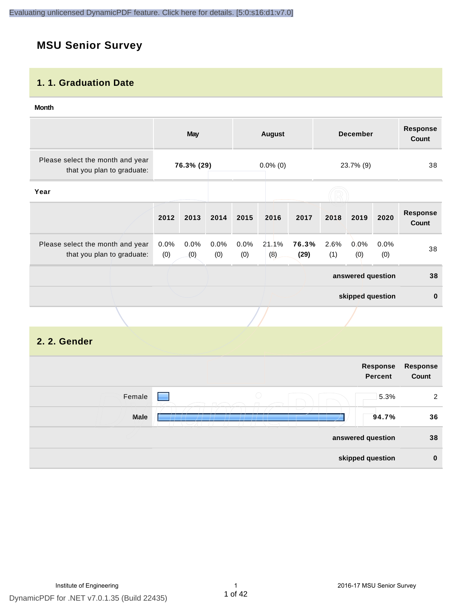# **MSU Senior Survey**

#### **1. 1. Graduation Date**

#### **Month**

|                                                                |                   | <b>May</b>  |             |             | <b>August</b> |               |             | <b>December</b>   |                                   | <b>Response</b><br><b>Count</b> |
|----------------------------------------------------------------|-------------------|-------------|-------------|-------------|---------------|---------------|-------------|-------------------|-----------------------------------|---------------------------------|
| Please select the month and year<br>that you plan to graduate: |                   | 76.3% (29)  |             |             | $0.0\%$ (0)   |               |             | 23.7% (9)         |                                   | 38                              |
| Year                                                           |                   |             |             |             |               |               |             |                   |                                   |                                 |
|                                                                | 2012              | 2013        | 2014        | 2015        | 2016          | 2017          | 2018        | 2019              | 2020                              | <b>Response</b><br><b>Count</b> |
| Please select the month and year<br>that you plan to graduate: | 0.0%<br>(0)       | 0.0%<br>(0) | 0.0%<br>(0) | 0.0%<br>(0) | 21.1%<br>(8)  | 76.3%<br>(29) | 2.6%<br>(1) | 0.0%<br>(0)       | 0.0%<br>(0)                       | 38                              |
|                                                                |                   |             |             |             |               |               |             | answered question |                                   | 38                              |
|                                                                |                   |             |             |             |               |               |             | skipped question  |                                   | $\pmb{0}$                       |
|                                                                |                   |             |             |             |               |               |             |                   |                                   |                                 |
| 2. 2. Gender                                                   |                   |             |             |             |               |               |             |                   |                                   |                                 |
|                                                                |                   |             |             |             |               |               |             |                   | <b>Response</b><br><b>Percent</b> | Response<br>Count               |
| Female                                                         |                   |             |             |             | $\bigcirc$    |               |             |                   | 5.3%                              | $\overline{2}$                  |
| <b>Male</b>                                                    |                   |             |             |             |               |               |             |                   | 94.7%                             | 36                              |
|                                                                | answered question |             |             |             |               |               | 38          |                   |                                   |                                 |
|                                                                |                   |             |             |             |               |               |             | skipped question  |                                   | $\bf{0}$                        |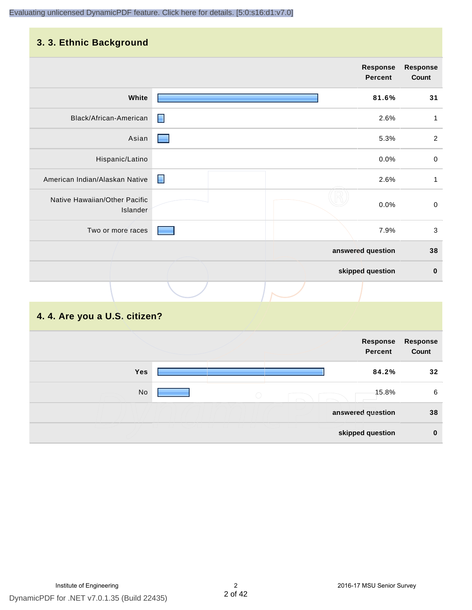#### **3. 3. Ethnic Background**

| . <b>.</b>                                |                |                            |                          |
|-------------------------------------------|----------------|----------------------------|--------------------------|
|                                           |                | <b>Response</b><br>Percent | <b>Response</b><br>Count |
| White                                     |                | 81.6%                      | 31                       |
| Black/African-American                    | $\blacksquare$ | 2.6%                       | 1                        |
| Asian                                     |                | 5.3%                       | $\overline{c}$           |
| Hispanic/Latino                           |                | 0.0%                       | $\,0\,$                  |
| American Indian/Alaskan Native            | $\blacksquare$ | 2.6%                       | 1                        |
| Native Hawaiian/Other Pacific<br>Islander |                | 0.0%                       | $\mbox{O}$               |
| Two or more races                         |                | 7.9%                       | $\sqrt{3}$               |
|                                           |                | answered question          | 38                       |
|                                           |                | skipped question           | $\pmb{0}$                |
|                                           |                |                            |                          |

# **4. 4. Are you a U.S. citizen?**

| <b>Response</b><br>Count | Response<br><b>Percent</b> |            |            |  |
|--------------------------|----------------------------|------------|------------|--|
| 32                       | 84.2%                      |            | <b>Yes</b> |  |
| 6                        | 15.8%                      | $\bigcirc$ | No         |  |
| 38                       | answered question          |            |            |  |
| $\bf{0}$                 | skipped question           |            |            |  |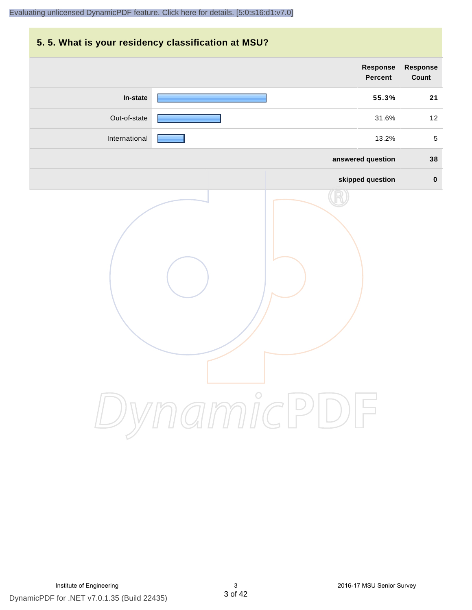# **5. 5. What is your residency classification at MSU? Response Response Percent Count In-state 55.3% 21** Out-of-state **12.2 Contract 12.2 Contract 12.2 Contract 12.31.6%** 12.2 Contract 12.4 Contract 12.2 Contract 12.2 Contract 12.2 Contract 12.2 Contract 12.2 Contract 12.2 Contract 12.2 Contract 12.2 Contract 12.2 Contract 12 International **Products and Security 13.2%** 5 **answered question 38 skipped question 0** DynamicPDF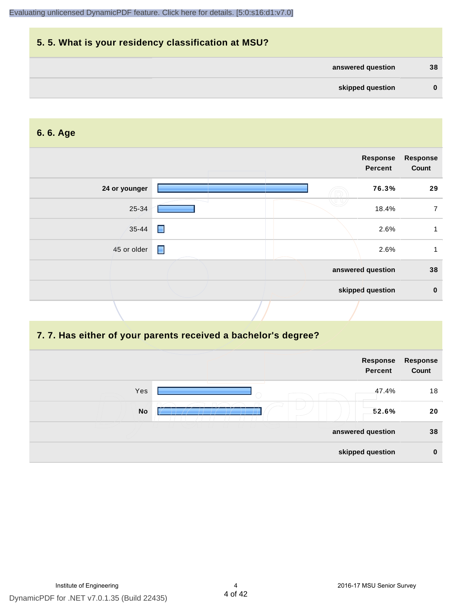| 5.5. What is your residency classification at MSU? |          |
|----------------------------------------------------|----------|
| answered question                                  | 38       |
| skipped question                                   | $\bf{0}$ |

#### **6. 6. Age**

|               |   | Response<br><b>Percent</b> | <b>Response</b><br>Count |
|---------------|---|----------------------------|--------------------------|
| 24 or younger |   | 76.3%                      | 29                       |
| 25-34         |   | 18.4%                      | $\overline{7}$           |
| 35-44         | н | 2.6%                       |                          |
| 45 or older   | н | 2.6%                       |                          |
|               |   | answered question          | 38                       |
|               |   | skipped question           | $\bf{0}$                 |

# **7. 7. Has either of your parents received a bachelor's degree?**

|     | Response<br><b>Percent</b> | Response<br>Count |
|-----|----------------------------|-------------------|
| Yes | 47.4%                      | 18                |
| No  | 52.6%                      | 20                |
|     | answered question          | 38                |
|     | skipped question           | $\bf{0}$          |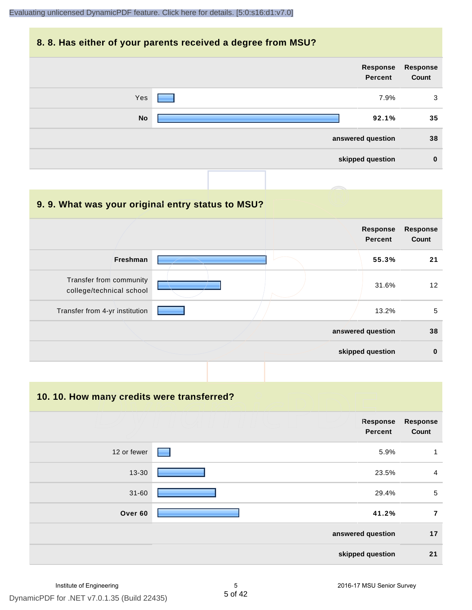#### **8. 8. Has either of your parents received a degree from MSU?**

| <b>Response</b><br>Count | Response<br>Percent |           |
|--------------------------|---------------------|-----------|
| 3                        | 7.9%                | Yes       |
| 35                       | 92.1%               | <b>No</b> |
| 38                       | answered question   |           |
| $\bf{0}$                 | skipped question    |           |
|                          |                     |           |

| 9.9. What was your original entry status to MSU?    |                                   |                          |
|-----------------------------------------------------|-----------------------------------|--------------------------|
|                                                     | <b>Response</b><br><b>Percent</b> | <b>Response</b><br>Count |
| Freshman                                            | 55.3%                             | 21                       |
| Transfer from community<br>college/technical school | 31.6%                             | 12 <sup>°</sup>          |
| Transfer from 4-yr institution                      | 13.2%                             | 5                        |
|                                                     | answered question                 | 38                       |
|                                                     | skipped question                  | $\bf{0}$                 |

# **10. 10. How many credits were transferred?**

|             | Response<br><b>Percent</b> | <b>Response</b><br>Count |
|-------------|----------------------------|--------------------------|
| 12 or fewer | 5.9%<br>a an               | 1                        |
| 13-30       | 23.5%                      | $\overline{a}$           |
| $31 - 60$   | 29.4%                      | $\sqrt{5}$               |
| Over 60     | 41.2%                      | $\overline{7}$           |
|             | answered question          | 17                       |
|             | skipped question           | 21                       |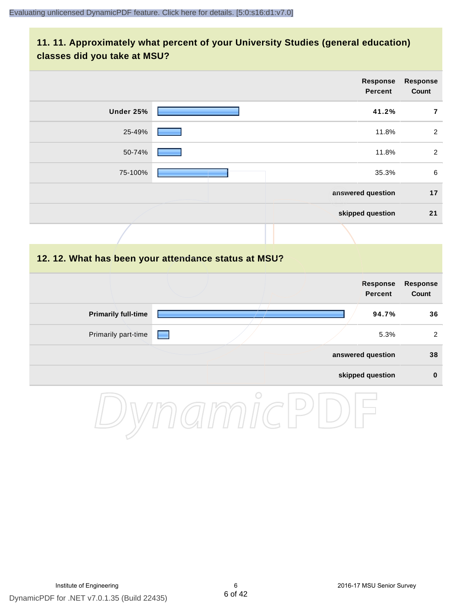#### **11. 11. Approximately what percent of your University Studies (general education) classes did you take at MSU?**

|                            |                                                      | Response<br><b>Percent</b>        | <b>Response</b><br>Count |
|----------------------------|------------------------------------------------------|-----------------------------------|--------------------------|
| <b>Under 25%</b>           |                                                      | 41.2%                             | $\overline{7}$           |
| 25-49%                     |                                                      | 11.8%                             | $\overline{2}$           |
| 50-74%                     |                                                      | 11.8%                             | $\sqrt{2}$               |
| 75-100%                    |                                                      | 35.3%                             | $\,6\,$                  |
|                            |                                                      | answered question                 | 17                       |
|                            |                                                      | skipped question                  | 21                       |
|                            |                                                      |                                   |                          |
|                            | 12. 12. What has been your attendance status at MSU? |                                   |                          |
|                            |                                                      | <b>Response</b><br><b>Percent</b> | <b>Response</b><br>Count |
| <b>Primarily full-time</b> |                                                      | 94.7%                             | 36                       |
| Primarily part-time        |                                                      | 5.3%                              | $\overline{2}$           |
|                            |                                                      | answered question                 | 38                       |
|                            |                                                      | skipped question                  | $\pmb{0}$                |
|                            |                                                      |                                   |                          |

DynamicPDF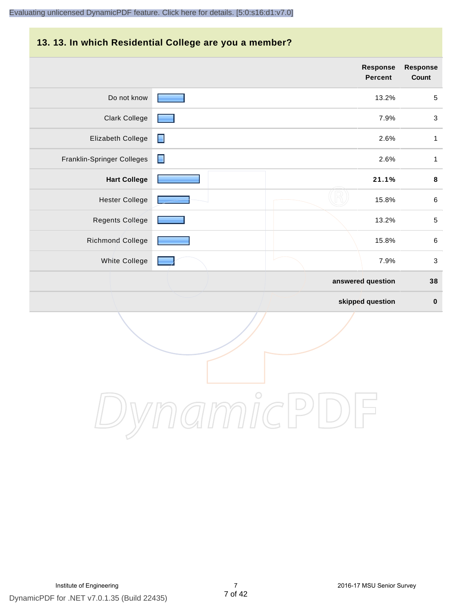# **13. 13. In which Residential College are you a member?**

|                            |                | <b>Response</b><br>Percent | <b>Response</b><br>Count  |
|----------------------------|----------------|----------------------------|---------------------------|
| Do not know                |                | 13.2%                      | $\overline{5}$            |
| <b>Clark College</b>       |                | 7.9%                       | $\sqrt{3}$                |
| Elizabeth College          | $\blacksquare$ | 2.6%                       | $\mathbf{1}$              |
| Franklin-Springer Colleges | ▉              | 2.6%                       | $\mathbf{1}$              |
| <b>Hart College</b>        |                | 21.1%                      | $\bf8$                    |
| <b>Hester College</b>      |                | 15.8%                      | $\,6\,$                   |
| <b>Regents College</b>     |                | 13.2%                      | $\sqrt{5}$                |
| Richmond College           |                | 15.8%                      | $\,6\,$                   |
| White College              |                | 7.9%                       | $\ensuremath{\mathsf{3}}$ |
|                            |                | answered question          | 38                        |
|                            |                | skipped question           | $\pmb{0}$                 |

DynamicPDF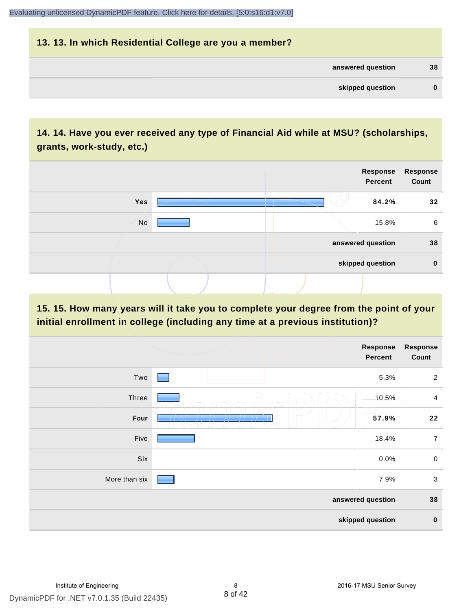# **13. 13. In which Residential College are you a member? answered question 38 skipped question 0**

### **14. 14. Have you ever received any type of Financial Aid while at MSU? (scholarships, grants, work-study, etc.)**



**15. 15. How many years will it take you to complete your degree from the point of your initial enrollment in college (including any time at a previous institution)?**

|               | <b>Response</b><br><b>Percent</b> | <b>Response</b><br>Count |
|---------------|-----------------------------------|--------------------------|
| Two           | 5.3%<br>and the control           | $\overline{2}$           |
| Three         | $\bigcirc$<br>10.5%               | $\overline{4}$           |
| Four          | 57.9%                             | 22                       |
| Five          | 18.4%                             | $\overline{7}$           |
| Six           | 0.0%                              | $\pmb{0}$                |
| More than six | 7.9%                              | $\sqrt{3}$               |
|               | answered question                 | 38                       |
|               | skipped question                  | $\pmb{0}$                |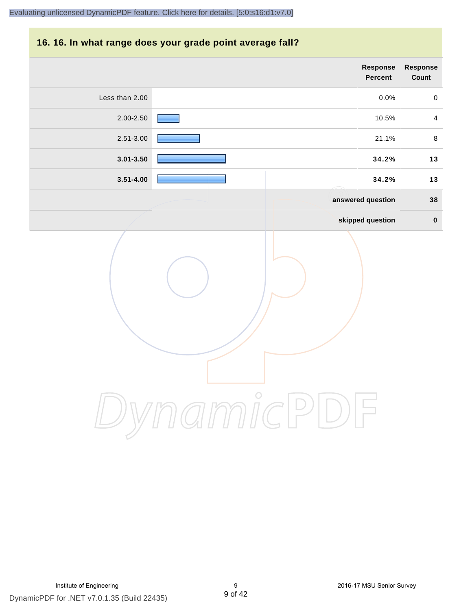#### **16. 16. In what range does your grade point average fall?**

| Response<br>Count | Response<br>Percent |                |                |
|-------------------|---------------------|----------------|----------------|
| $\pmb{0}$         | 0.0%                |                | Less than 2.00 |
| $\overline{4}$    | 10.5%               |                | 2.00-2.50      |
| $\,8\,$           | 21.1%               |                | 2.51-3.00      |
| $13$              | 34.2%               |                | $3.01 - 3.50$  |
| $13$              | 34.2%               |                | $3.51 - 4.00$  |
| 38                | answered question   |                |                |
| $\pmb{0}$         | skipped question    |                |                |
|                   |                     | $\int_{0}^{0}$ |                |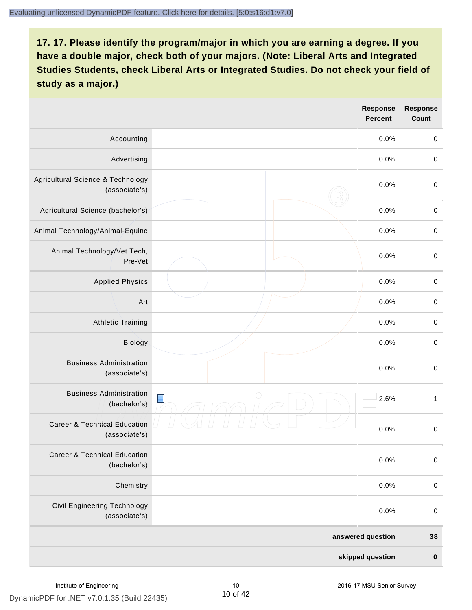|                                                          |                     | Response<br><b>Percent</b> | <b>Response</b><br>Count |
|----------------------------------------------------------|---------------------|----------------------------|--------------------------|
| Accounting                                               |                     | 0.0%                       | $\mathbf 0$              |
| Advertising                                              |                     | 0.0%                       | $\mbox{O}$               |
| Agricultural Science & Technology<br>(associate's)       |                     | 0.0%                       | $\mbox{O}$               |
| Agricultural Science (bachelor's)                        |                     | 0.0%                       | $\mathbf 0$              |
| Animal Technology/Animal-Equine                          |                     | 0.0%                       | $\mathbf 0$              |
| Animal Technology/Vet Tech,<br>Pre-Vet                   |                     | 0.0%                       | $\mathbf 0$              |
| <b>Applied Physics</b>                                   |                     | 0.0%                       | $\pmb{0}$                |
| Art                                                      |                     | 0.0%                       | $\mathbf 0$              |
| <b>Athletic Training</b>                                 |                     | 0.0%                       | $\mathbf 0$              |
| Biology                                                  |                     | 0.0%                       | $\mbox{O}$               |
| <b>Business Administration</b><br>(associate's)          |                     | 0.0%                       | $\,0\,$                  |
| <b>Business Administration</b><br>(bachelor's)           | ○<br>$\blacksquare$ | 2.6%                       | $\mathbf{1}$             |
| <b>Career &amp; Technical Education</b><br>(associate's) |                     | 0.0%                       | $\mathbf 0$              |
| <b>Career &amp; Technical Education</b><br>(bachelor's)  |                     | 0.0%                       | $\mathbf 0$              |
| Chemistry                                                |                     | 0.0%                       | $\mathbf 0$              |
| Civil Engineering Technology<br>(associate's)            |                     | 0.0%                       | $\boldsymbol{0}$         |
|                                                          | answered question   |                            | 38                       |
|                                                          | skipped question    |                            | $\pmb{0}$                |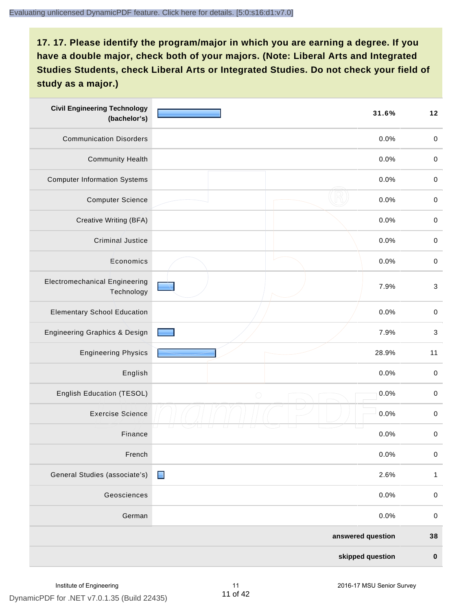| <b>Civil Engineering Technology</b><br>(bachelor's) | 31.6%                  | $12$                      |
|-----------------------------------------------------|------------------------|---------------------------|
| <b>Communication Disorders</b>                      | 0.0%                   | $\pmb{0}$                 |
| <b>Community Health</b>                             | 0.0%                   | $\pmb{0}$                 |
| <b>Computer Information Systems</b>                 | 0.0%                   | $\pmb{0}$                 |
| <b>Computer Science</b>                             | 0.0%                   | $\mathbf 0$               |
| Creative Writing (BFA)                              | 0.0%                   | $\mathbf 0$               |
| <b>Criminal Justice</b>                             | 0.0%                   | $\mathbf 0$               |
| Economics                                           | 0.0%                   | $\pmb{0}$                 |
| <b>Electromechanical Engineering</b><br>Technology  | 7.9%                   | $\ensuremath{\mathsf{3}}$ |
| <b>Elementary School Education</b>                  | 0.0%                   | $\,0\,$                   |
| <b>Engineering Graphics &amp; Design</b>            | 7.9%                   | $\ensuremath{\mathsf{3}}$ |
| <b>Engineering Physics</b>                          | 28.9%                  | 11                        |
| English                                             | 0.0%                   | $\pmb{0}$                 |
| English Education (TESOL)                           | 0.0%<br>$\bigcirc$     | $\pmb{0}$                 |
| <b>Exercise Science</b>                             | 0.0%                   | $\pmb{0}$                 |
| Finance                                             | 0.0%                   | $\,0\,$                   |
| French                                              | 0.0%                   | $\pmb{0}$                 |
| General Studies (associate's)                       | $\blacksquare$<br>2.6% | $\mathbf{1}$              |
| Geosciences                                         | 0.0%                   | $\mathbf 0$               |
| German                                              | 0.0%                   | $\mathbf 0$               |
|                                                     | answered question      | 38                        |
|                                                     | skipped question       | $\pmb{0}$                 |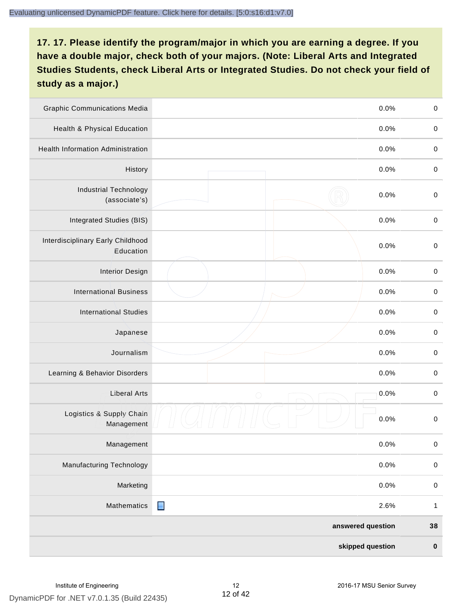| <b>Graphic Communications Media</b>            |                | 0.0%              | $\mathbf 0$  |
|------------------------------------------------|----------------|-------------------|--------------|
| Health & Physical Education                    |                | 0.0%              | $\mathbf 0$  |
| <b>Health Information Administration</b>       |                | 0.0%              | $\pmb{0}$    |
| History                                        |                | 0.0%              | $\mathbf 0$  |
| <b>Industrial Technology</b><br>(associate's)  |                | 0.0%              | $\mathbf 0$  |
| Integrated Studies (BIS)                       |                | 0.0%              | $\mathbf 0$  |
| Interdisciplinary Early Childhood<br>Education |                | 0.0%              | $\mathbf 0$  |
| <b>Interior Design</b>                         |                | 0.0%              | $\mathbf 0$  |
| <b>International Business</b>                  |                | 0.0%              | $\mathbf 0$  |
| <b>International Studies</b>                   |                | 0.0%              | $\mathbf 0$  |
| Japanese                                       |                | 0.0%              | $\pmb{0}$    |
| Journalism                                     |                | 0.0%              | $\,0\,$      |
| Learning & Behavior Disorders                  |                | 0.0%              | $\mathbf 0$  |
| <b>Liberal Arts</b>                            | $\bigcirc$     | 0.0%              | $\mathbf 0$  |
| Logistics & Supply Chain<br>Management         |                | 0.0%              | $\mathbf 0$  |
| Management                                     |                | 0.0%              | $\pmb{0}$    |
| <b>Manufacturing Technology</b>                |                | 0.0%              | $\pmb{0}$    |
| Marketing                                      |                | 0.0%              | $\mathbf 0$  |
| Mathematics                                    | $\blacksquare$ | 2.6%              | $\mathbf{1}$ |
|                                                |                | answered question | ${\bf 38}$   |
|                                                |                | skipped question  | $\pmb{0}$    |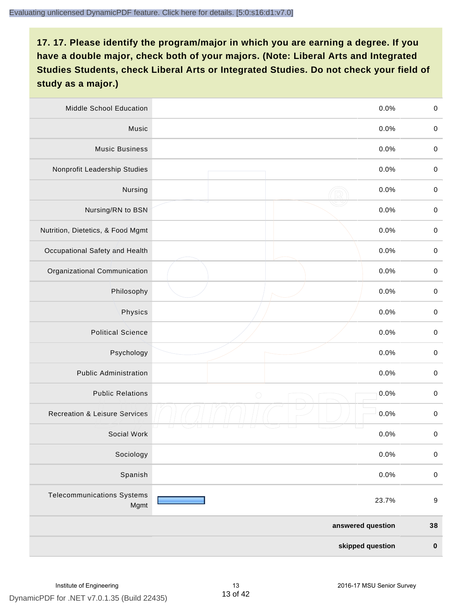| <b>Middle School Education</b>            | 0.0%               | $\mathbf 0$      |
|-------------------------------------------|--------------------|------------------|
| Music                                     | 0.0%               | $\pmb{0}$        |
| <b>Music Business</b>                     | 0.0%               | $\mathbf 0$      |
| Nonprofit Leadership Studies              | 0.0%               | $\mathbf 0$      |
| Nursing                                   | 0.0%               | $\pmb{0}$        |
| Nursing/RN to BSN                         | 0.0%               | $\,0\,$          |
| Nutrition, Dietetics, & Food Mgmt         | 0.0%               | $\pmb{0}$        |
| Occupational Safety and Health            | 0.0%               | $\mathbf 0$      |
| Organizational Communication              | 0.0%               | $\pmb{0}$        |
| Philosophy                                | 0.0%               | $\pmb{0}$        |
| Physics                                   | 0.0%               | $\pmb{0}$        |
| <b>Political Science</b>                  | 0.0%               | $\pmb{0}$        |
| Psychology                                | 0.0%               | $\mathbf 0$      |
| <b>Public Administration</b>              | 0.0%               | $\mathbf 0$      |
| <b>Public Relations</b>                   | 0.0%<br>$\bigcirc$ | $\pmb{0}$        |
| <b>Recreation &amp; Leisure Services</b>  | 0.0%               | $\pmb{0}$        |
| Social Work                               | 0.0%               | $\pmb{0}$        |
| Sociology                                 | 0.0%               | $\mathbf 0$      |
| Spanish                                   | 0.0%               | $\pmb{0}$        |
| <b>Telecommunications Systems</b><br>Mgmt | 23.7%              | $\boldsymbol{9}$ |
|                                           | answered question  | 38               |
|                                           | skipped question   | $\pmb{0}$        |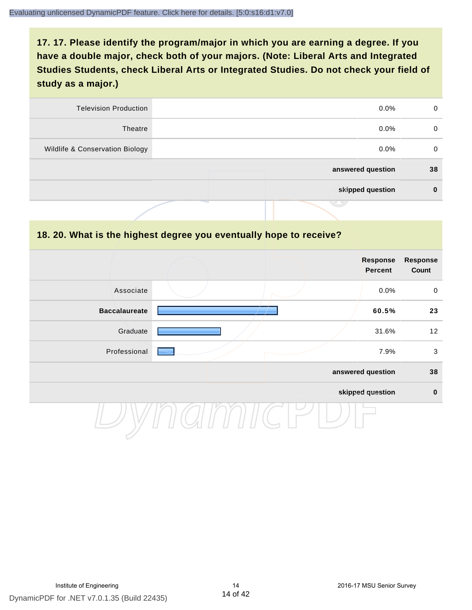| <b>Television Production</b>    | $0.0\%$           | 0        |
|---------------------------------|-------------------|----------|
| Theatre                         | $0.0\%$           | 0        |
| Wildlife & Conservation Biology | $0.0\%$           | 0        |
|                                 | answered question | 38       |
|                                 | skipped question  | $\bf{0}$ |
|                                 |                   |          |

#### **18. 20. What is the highest degree you eventually hope to receive?**

|                      |                   | <b>Response</b><br>Percent | <b>Response</b><br>Count |
|----------------------|-------------------|----------------------------|--------------------------|
| Associate            |                   | 0.0%                       | $\mathbf 0$              |
| <b>Baccalaureate</b> |                   | 60.5%                      | 23                       |
| Graduate             |                   | 31.6%                      | 12                       |
| Professional         |                   | 7.9%                       | 3                        |
|                      | answered question |                            | 38                       |
|                      |                   | skipped question           | $\mathbf 0$              |
|                      |                   |                            |                          |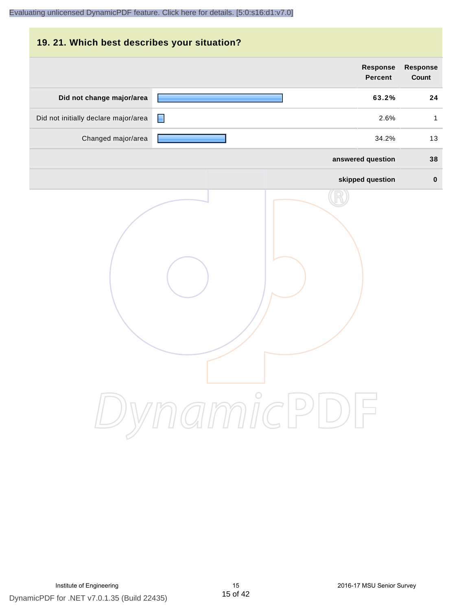| 19. 21. Which best describes your situation? |                                   |                          |
|----------------------------------------------|-----------------------------------|--------------------------|
|                                              | <b>Response</b><br><b>Percent</b> | <b>Response</b><br>Count |
| Did not change major/area                    | 63.2%                             | 24                       |
| Did not initially declare major/area         | 2.6%<br>н                         | 1                        |
| Changed major/area                           | 34.2%                             | 13                       |
|                                              | answered question                 | 38                       |
|                                              | skipped question                  | $\bf{0}$                 |
|                                              | DynamicPDF                        |                          |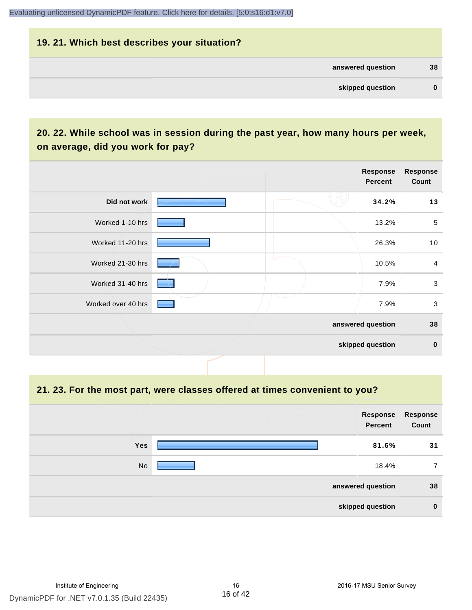# **19. 21. Which best describes your situation? answered question 38 skipped question 0**

### **20. 22. While school was in session during the past year, how many hours per week, on average, did you work for pay?**

|                    |  | Response<br><b>Percent</b> | <b>Response</b><br>Count |
|--------------------|--|----------------------------|--------------------------|
| Did not work       |  | 34.2%                      | 13                       |
| Worked 1-10 hrs    |  | 13.2%                      | $\,$ 5 $\,$              |
| Worked 11-20 hrs   |  | 26.3%                      | 10                       |
| Worked 21-30 hrs   |  | 10.5%                      | $\overline{a}$           |
| Worked 31-40 hrs   |  | 7.9%                       | $\mathbf{3}$             |
| Worked over 40 hrs |  | 7.9%                       | $\sqrt{3}$               |
|                    |  | answered question          | 38                       |
|                    |  | skipped question           | $\pmb{0}$                |

#### **21. 23. For the most part, were classes offered at times convenient to you?**

|            | Response<br><b>Percent</b> | <b>Response</b><br>Count |
|------------|----------------------------|--------------------------|
| <b>Yes</b> | 81.6%                      | 31                       |
| No         | 18.4%                      |                          |
|            | answered question          | 38                       |
|            | skipped question           | $\mathbf 0$              |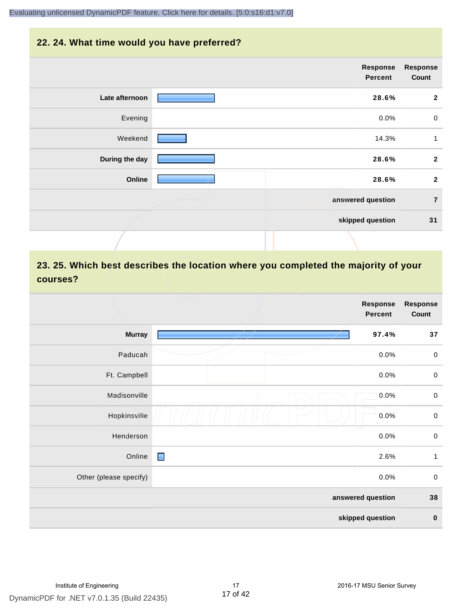#### **22. 24. What time would you have preferred?**

|                | Response<br>Percent | <b>Response</b><br>Count |
|----------------|---------------------|--------------------------|
| Late afternoon | 28.6%               | $\overline{2}$           |
| Evening        | 0.0%                | $\mathbf 0$              |
| Weekend        | 14.3%               | $\mathbf{1}$             |
| During the day | 28.6%               | $\mathbf{2}$             |
| Online         | 28.6%               | $\overline{\mathbf{2}}$  |
|                | answered question   | $\overline{7}$           |
|                | skipped question    | 31                       |
|                |                     |                          |

# **23. 25. Which best describes the location where you completed the majority of your courses?**

|                        |                | <b>Response</b><br>Percent | <b>Response</b><br>Count |
|------------------------|----------------|----------------------------|--------------------------|
| <b>Murray</b>          |                | 97.4%                      | 37                       |
| Paducah                |                | 0.0%                       | $\,0\,$                  |
| Ft. Campbell           |                | 0.0%                       | $\mathbf 0$              |
| Madisonville           | $\bigcirc$     | 0.0%                       | $\mathbf 0$              |
| Hopkinsville           |                | 0.0%                       | $\pmb{0}$                |
| Henderson              |                | 0.0%                       | $\pmb{0}$                |
| Online                 | $\blacksquare$ | 2.6%                       | $\mathbf{1}$             |
| Other (please specify) |                | 0.0%                       | $\pmb{0}$                |
|                        |                | answered question          | 38                       |
|                        |                | skipped question           | $\pmb{0}$                |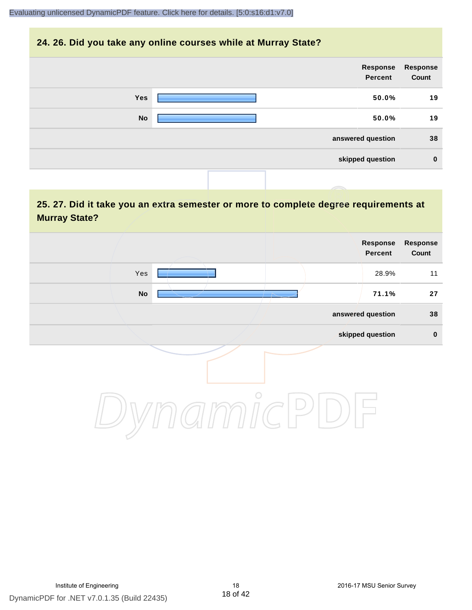#### **24. 26. Did you take any online courses while at Murray State?**

| Response<br>Percent | Response<br>Count |
|---------------------|-------------------|
| <b>Yes</b><br>50.0% | 19                |
| <b>No</b><br>50.0%  | 19                |
| answered question   | 38                |
| skipped question    | $\mathbf 0$       |
|                     |                   |

### **25. 27. Did it take you an extra semester or more to complete degree requirements at Murray State?**

| <b>Response</b><br>Count | Response<br>Percent |         |     |  |
|--------------------------|---------------------|---------|-----|--|
| 11                       | 28.9%               |         | Yes |  |
| 27                       | 71.1%               |         | No  |  |
| 38                       | answered question   |         |     |  |
| $\pmb{0}$                | skipped question    |         |     |  |
|                          |                     | $\circ$ |     |  |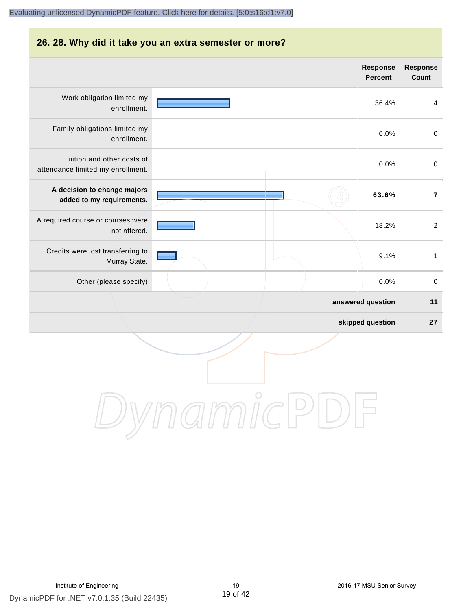# **26. 28. Why did it take you an extra semester or more?**

|                                                                 |            | <b>Response</b><br><b>Percent</b> | Response<br>Count |
|-----------------------------------------------------------------|------------|-----------------------------------|-------------------|
| Work obligation limited my<br>enrollment.                       |            | 36.4%                             | $\overline{4}$    |
| Family obligations limited my<br>enrollment.                    |            | 0.0%                              | $\pmb{0}$         |
| Tuition and other costs of<br>attendance limited my enrollment. |            | 0.0%                              | $\mathbf 0$       |
| A decision to change majors<br>added to my requirements.        |            | 63.6%                             | $\overline{7}$    |
| A required course or courses were<br>not offered.               |            | 18.2%                             | $\overline{2}$    |
| Credits were lost transferring to<br>Murray State.              |            | 9.1%                              | $\mathbf{1}$      |
| Other (please specify)                                          |            | 0.0%                              | $\,0\,$           |
|                                                                 |            | answered question                 | 11                |
|                                                                 |            | skipped question                  | 27                |
|                                                                 | $\bigcirc$ |                                   |                   |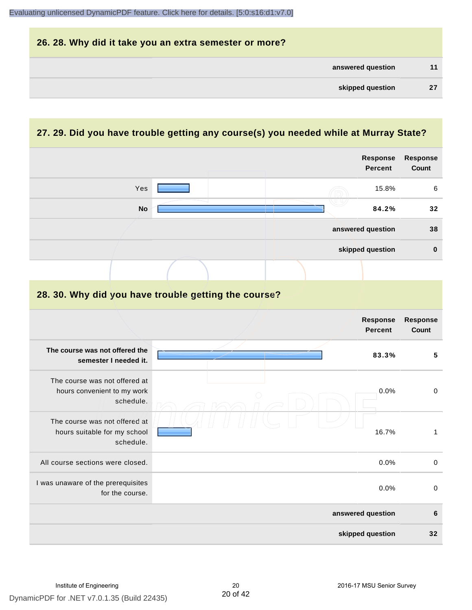| 26. 28. Why did it take you an extra semester or more? |    |
|--------------------------------------------------------|----|
| answered question                                      | 11 |
| skipped question                                       | 27 |

# **27. 29. Did you have trouble getting any course(s) you needed while at Murray State?**

|                                                                            |                                                      | <b>Response</b><br><b>Percent</b> | <b>Response</b><br>Count |
|----------------------------------------------------------------------------|------------------------------------------------------|-----------------------------------|--------------------------|
| Yes                                                                        |                                                      | 15.8%                             | $\,6\,$                  |
| <b>No</b>                                                                  |                                                      | 84.2%                             | 32                       |
|                                                                            |                                                      | answered question                 | 38                       |
|                                                                            |                                                      | skipped question                  | $\bf{0}$                 |
|                                                                            |                                                      |                                   |                          |
|                                                                            | 28. 30. Why did you have trouble getting the course? |                                   |                          |
|                                                                            |                                                      | <b>Response</b><br><b>Percent</b> | <b>Response</b><br>Count |
| The course was not offered the<br>semester I needed it.                    |                                                      | 83.3%                             | 5                        |
| The course was not offered at<br>hours convenient to my work<br>schedule.  |                                                      | 0.0%                              | $\mathbf 0$              |
| The course was not offered at<br>hours suitable for my school<br>schedule. |                                                      | 16.7%                             | $\mathbf{1}$             |
| All course sections were closed.                                           |                                                      | 0.0%                              | $\pmb{0}$                |
| I was unaware of the prerequisites<br>for the course.                      |                                                      | 0.0%                              | $\mathbf 0$              |
|                                                                            |                                                      | answered question                 | $6\phantom{1}6$          |
|                                                                            |                                                      | skipped question                  | 32                       |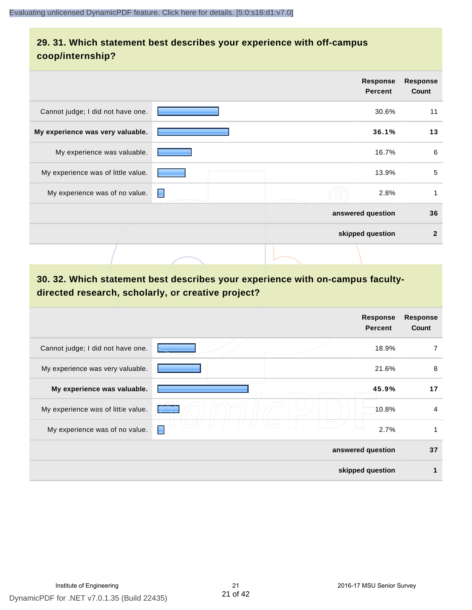### **29. 31. Which statement best describes your experience with off-campus coop/internship?**

|                                    |   |  | <b>Response</b><br><b>Percent</b> | <b>Response</b><br>Count |
|------------------------------------|---|--|-----------------------------------|--------------------------|
| Cannot judge; I did not have one.  |   |  | 30.6%                             | 11                       |
| My experience was very valuable.   |   |  | 36.1%                             | 13                       |
| My experience was valuable.        |   |  | 16.7%                             | 6                        |
| My experience was of little value. |   |  | 13.9%                             | 5                        |
| My experience was of no value.     | ■ |  | 2.8%                              | 1                        |
|                                    |   |  | answered question                 | 36                       |
|                                    |   |  | skipped question                  | $\mathbf{2}$             |
|                                    |   |  |                                   |                          |

# **30. 32. Which statement best describes your experience with on-campus facultydirected research, scholarly, or creative project?**

|                                    |                   | <b>Response</b><br><b>Percent</b> | <b>Response</b><br>Count |
|------------------------------------|-------------------|-----------------------------------|--------------------------|
| Cannot judge; I did not have one.  |                   | 18.9%                             | 7                        |
| My experience was very valuable.   |                   | 21.6%                             | 8                        |
| My experience was valuable.        |                   | 45.9%                             | 17                       |
| My experience was of little value. |                   | 10.8%                             | 4                        |
| My experience was of no value.     | Е                 | 2.7%                              | 1                        |
|                                    | answered question |                                   | 37                       |
|                                    | skipped question  |                                   | 1                        |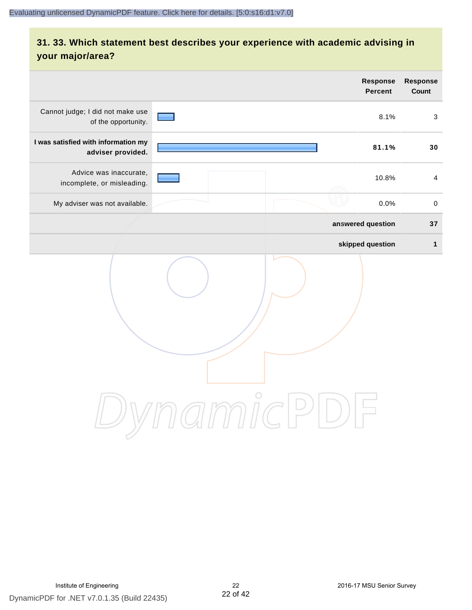# **31. 33. Which statement best describes your experience with academic advising in your major/area?**

|                                                          | <b>Response</b><br><b>Percent</b>                                       | Response<br>Count |
|----------------------------------------------------------|-------------------------------------------------------------------------|-------------------|
| Cannot judge; I did not make use<br>of the opportunity.  | 8.1%                                                                    | 3                 |
| I was satisfied with information my<br>adviser provided. | 81.1%                                                                   | 30                |
| Advice was inaccurate,<br>incomplete, or misleading.     | 10.8%                                                                   | $\overline{4}$    |
| My adviser was not available.                            | 0.0%                                                                    | $\pmb{0}$         |
|                                                          | answered question                                                       | 37                |
|                                                          | skipped question                                                        | $\mathbf{1}$      |
|                                                          | amicl<br>$\left( \begin{array}{c} \end{array} \right)$<br>$\frac{1}{2}$ |                   |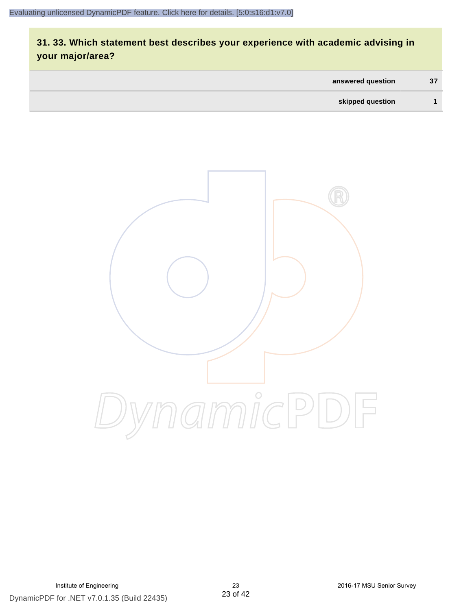# **31. 33. Which statement best describes your experience with academic advising in your major/area?**

| answered question | 37 |
|-------------------|----|
| skipped question  |    |

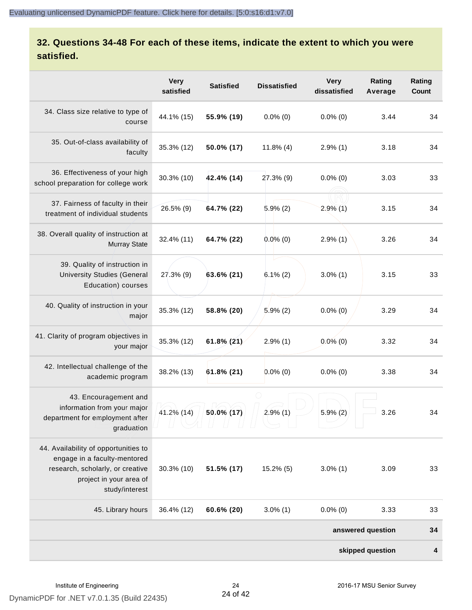### **32. Questions 34-48 For each of these items, indicate the extent to which you were satisfied.**

|                                                                                                                                                       | <b>Very</b><br>satisfied | <b>Satisfied</b> | <b>Dissatisfied</b> | <b>Very</b><br>dissatisfied | Rating<br>Average | Rating<br>Count |
|-------------------------------------------------------------------------------------------------------------------------------------------------------|--------------------------|------------------|---------------------|-----------------------------|-------------------|-----------------|
| 34. Class size relative to type of<br>course                                                                                                          | 44.1% (15)               | 55.9% (19)       | $0.0\%$ (0)         | $0.0\%$ (0)                 | 3.44              | 34              |
| 35. Out-of-class availability of<br>faculty                                                                                                           | 35.3% (12)               | 50.0% (17)       | $11.8\%$ (4)        | $2.9\%$ (1)                 | 3.18              | 34              |
| 36. Effectiveness of your high<br>school preparation for college work                                                                                 | 30.3% (10)               | 42.4% (14)       | 27.3% (9)           | $0.0\%$ (0)                 | 3.03              | 33              |
| 37. Fairness of faculty in their<br>treatment of individual students                                                                                  | 26.5% (9)                | 64.7% (22)       | 5.9%(2)             | $2.9\%$ (1)                 | 3.15              | 34              |
| 38. Overall quality of instruction at<br><b>Murray State</b>                                                                                          | 32.4% (11)               | 64.7% (22)       | $0.0\%$ (0)         | $2.9\%$ (1)                 | 3.26              | 34              |
| 39. Quality of instruction in<br><b>University Studies (General</b><br>Education) courses                                                             | 27.3% (9)                | 63.6% (21)       | $6.1\%(2)$          | $3.0\%$ (1)                 | 3.15              | 33              |
| 40. Quality of instruction in your<br>major                                                                                                           | 35.3% (12)               | 58.8% (20)       | $5.9\%$ (2)         | $0.0\%$ (0)                 | 3.29              | 34              |
| 41. Clarity of program objectives in<br>your major                                                                                                    | 35.3% (12)               | $61.8\% (21)$    | $2.9\%$ (1)         | $0.0\%$ (0)                 | 3.32              | 34              |
| 42. Intellectual challenge of the<br>academic program                                                                                                 | 38.2% (13)               | 61.8% (21)       | $0.0\%$ (0)         | $0.0\%$ (0)                 | 3.38              | 34              |
| 43. Encouragement and<br>information from your major<br>department for employment after<br>graduation                                                 | 41.2% (14)               | 50.0% (17)       | 2.9%(1)             | $5.9\%$ (2)                 | 3.26              | 34              |
| 44. Availability of opportunities to<br>engage in a faculty-mentored<br>research, scholarly, or creative<br>project in your area of<br>study/interest | 30.3% (10)               | 51.5% (17)       | 15.2% (5)           | $3.0\%$ (1)                 | 3.09              | 33              |
| 45. Library hours                                                                                                                                     | 36.4% (12)               | 60.6% (20)       | $3.0\%$ (1)         | $0.0\%$ (0)                 | 3.33              | 33              |
|                                                                                                                                                       |                          |                  |                     |                             | answered question | 34              |
|                                                                                                                                                       |                          |                  |                     |                             | skipped question  | 4               |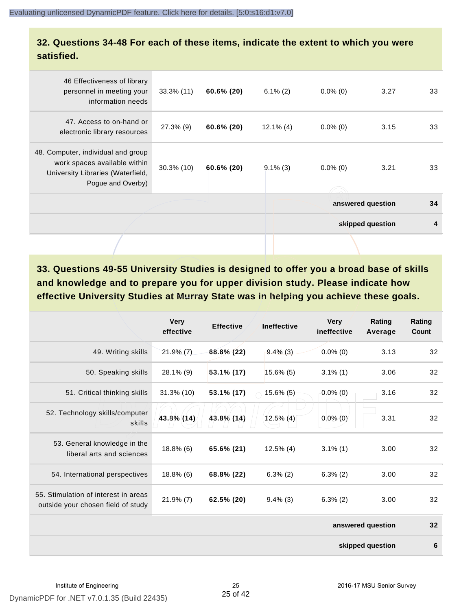#### **32. Questions 34-48 For each of these items, indicate the extent to which you were satisfied.**

| 46 Effectiveness of library<br>personnel in meeting your<br>information needs                                                | $33.3\%$ (11) | $60.6\%$ (20) | $6.1\%$ (2)  | $0.0\%$ (0) | 3.27              | 33               |
|------------------------------------------------------------------------------------------------------------------------------|---------------|---------------|--------------|-------------|-------------------|------------------|
| 47. Access to on-hand or<br>electronic library resources                                                                     | $27.3\%$ (9)  | $60.6\%$ (20) | $12.1\%$ (4) | $0.0\%$ (0) | 3.15              | 33               |
| 48. Computer, individual and group<br>work spaces available within<br>University Libraries (Waterfield,<br>Pogue and Overby) | $30.3\%$ (10) | $60.6\%$ (20) | $9.1\%$ (3)  | $0.0\%$ (0) | 3.21              | 33               |
|                                                                                                                              |               |               |              |             | answered question | 34               |
|                                                                                                                              |               |               |              |             | skipped question  | $\boldsymbol{4}$ |
|                                                                                                                              |               |               |              |             |                   |                  |

**33. Questions 49-55 University Studies is designed to offer you a broad base of skills and knowledge and to prepare you for upper division study. Please indicate how effective University Studies at Murray State was in helping you achieve these goals.**

|                                                                            | <b>Very</b><br>effective | <b>Effective</b> | <b>Ineffective</b> | <b>Very</b><br>ineffective | Rating<br>Average | Rating<br>Count |
|----------------------------------------------------------------------------|--------------------------|------------------|--------------------|----------------------------|-------------------|-----------------|
| 49. Writing skills                                                         | $21.9\%$ (7)             | 68.8% (22)       | $9.4\%$ (3)        | $0.0\%$ (0)                | 3.13              | 32              |
| 50. Speaking skills                                                        | 28.1% (9)                | 53.1% (17)       | $15.6\%$ (5)       | $3.1\%$ (1)                | 3.06              | 32              |
| 51. Critical thinking skills                                               | 31.3% (10)               | 53.1% (17)       | $15.6\%$ (5)       | $0.0\%$ (0)                | 3.16              | 32              |
| 52. Technology skills/computer<br>skills                                   | 43.8% (14)               | 43.8% (14)       | $12.5\%$ (4)       | $0.0\%$ (0)                | 3.31              | 32              |
| 53. General knowledge in the<br>liberal arts and sciences                  | $18.8\%$ (6)             | 65.6% (21)       | $12.5\%$ (4)       | $3.1\%$ (1)                | 3.00              | 32              |
| 54. International perspectives                                             | $18.8\%$ (6)             | 68.8% (22)       | $6.3\%$ (2)        | $6.3\%(2)$                 | 3.00              | 32              |
| 55. Stimulation of interest in areas<br>outside your chosen field of study | $21.9\%$ (7)             | 62.5% (20)       | $9.4\%$ (3)        | $6.3\%(2)$                 | 3.00              | 32              |
|                                                                            |                          |                  |                    |                            | answered question | 32              |
|                                                                            |                          |                  |                    |                            | skipped question  | 6               |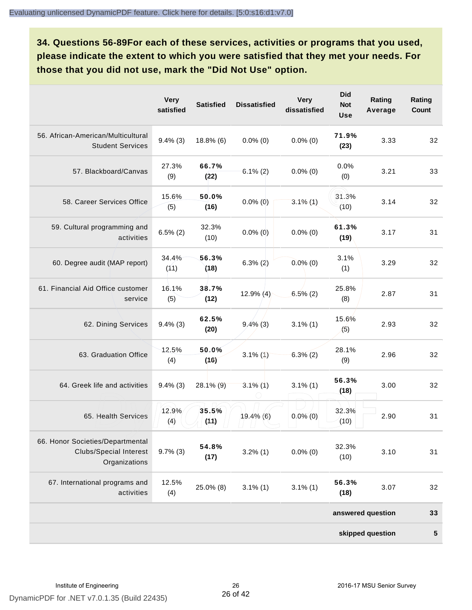**34. Questions 56-89For each of these services, activities or programs that you used, please indicate the extent to which you were satisfied that they met your needs. For those that you did not use, mark the "Did Not Use" option.**

|                                                                                    | <b>Very</b><br>satisfied | <b>Satisfied</b> | <b>Dissatisfied</b> | <b>Very</b><br>dissatisfied | <b>Did</b><br><b>Not</b><br><b>Use</b> | Rating<br>Average | Rating<br>Count |
|------------------------------------------------------------------------------------|--------------------------|------------------|---------------------|-----------------------------|----------------------------------------|-------------------|-----------------|
| 56. African-American/Multicultural<br><b>Student Services</b>                      | $9.4\%$ (3)              | $18.8\%$ (6)     | $0.0\%$ (0)         | $0.0\%$ (0)                 | 71.9%<br>(23)                          | 3.33              | 32              |
| 57. Blackboard/Canvas                                                              | 27.3%<br>(9)             | 66.7%<br>(22)    | $6.1\%(2)$          | $0.0\%$ (0)                 | 0.0%<br>(0)                            | 3.21              | 33              |
| 58. Career Services Office                                                         | 15.6%<br>(5)             | 50.0%<br>(16)    | $0.0\%$ (0)         | $3.1\%$ (1)                 | 31.3%<br>(10)                          | 3.14              | 32              |
| 59. Cultural programming and<br>activities                                         | $6.5\%$ (2)              | 32.3%<br>(10)    | $0.0\%$ (0)         | $0.0\%$ (0)                 | 61.3%<br>(19)                          | 3.17              | 31              |
| 60. Degree audit (MAP report)                                                      | 34.4%<br>(11)            | 56.3%<br>(18)    | $6.3\%(2)$          | $0.0\%$ (0)                 | 3.1%<br>(1)                            | 3.29              | 32              |
| 61. Financial Aid Office customer<br>service                                       | 16.1%<br>(5)             | 38.7%<br>(12)    | $12.9\%$ (4)        | $6.5\%$ (2)                 | 25.8%<br>(8)                           | 2.87              | 31              |
| 62. Dining Services                                                                | $9.4\%$ (3)              | 62.5%<br>(20)    | $9,4%$ (3)          | $3.1\%$ (1)                 | 15.6%<br>(5)                           | 2.93              | 32              |
| 63. Graduation Office                                                              | 12.5%<br>(4)             | 50.0%<br>(16)    | $3.1\%$ (1)         | $6.3\%$ (2)                 | 28.1%<br>(9)                           | 2.96              | 32              |
| 64. Greek life and activities                                                      | $9.4\%$ (3)              | $28.1\%$ (9)     | $3.1\%$ (1)         | $3.1\%$ (1)                 | 56.3%<br>(18)                          | 3.00              | 32              |
| 65. Health Services                                                                | 12.9%<br>(4)             | 35.5%<br>(11)    | $19.4\%$ (6)        | $0.0\%$ (0)                 | 32.3%<br>(10)                          | 2.90              | 31              |
| 66. Honor Societies/Departmental<br><b>Clubs/Special Interest</b><br>Organizations | $9.7\%$ (3)              | 54.8%<br>(17)    | $3.2\%$ (1)         | $0.0\%$ (0)                 | 32.3%<br>(10)                          | 3.10              | 31              |
| 67. International programs and<br>activities                                       | 12.5%<br>(4)             | 25.0% (8)        | $3.1\%$ (1)         | $3.1\%$ (1)                 | 56.3%<br>(18)                          | 3.07              | 32              |
|                                                                                    |                          |                  |                     |                             |                                        | answered question | 33              |
|                                                                                    |                          |                  |                     |                             |                                        | skipped question  | 5               |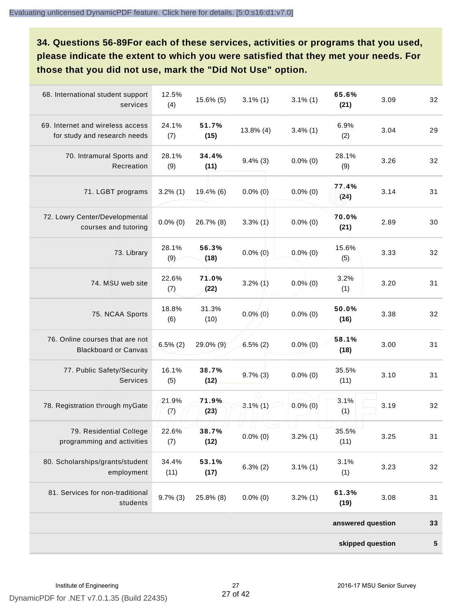**34. Questions 56-89For each of these services, activities or programs that you used, please indicate the extent to which you were satisfied that they met your needs. For those that you did not use, mark the "Did Not Use" option.**

| 68. International student support<br>services                    | 12.5%<br>(4)  | $15.6\%$ (5)  | $3.1\%$ (1)   | $3.1\%$ (1) | 65.6%<br>(21)     | 3.09 | 32        |
|------------------------------------------------------------------|---------------|---------------|---------------|-------------|-------------------|------|-----------|
| 69. Internet and wireless access<br>for study and research needs | 24.1%<br>(7)  | 51.7%<br>(15) | 13.8% (4)     | $3.4\%$ (1) | 6.9%<br>(2)       | 3.04 | 29        |
| 70. Intramural Sports and<br>Recreation                          | 28.1%<br>(9)  | 34.4%<br>(11) | $9.4\%$ (3)   | $0.0\%$ (0) | 28.1%<br>(9)      | 3.26 | 32        |
| 71. LGBT programs                                                | $3.2\%$ (1)   | $19.4\%$ (6)  | $0.0\%$ (0)   | $0.0\%$ (0) | 77.4%<br>(24)     | 3.14 | 31        |
| 72. Lowry Center/Developmental<br>courses and tutoring           | $0.0\%$ (0)   | 26.7% (8)     | $3.3\%$ (1)   | $0.0\%$ (0) | 70.0%<br>(21)     | 2.89 | 30        |
| 73. Library                                                      | 28.1%<br>(9)  | 56.3%<br>(18) | $0.0\%$ (0)   | $0.0\%$ (0) | 15.6%<br>(5)      | 3.33 | 32        |
| 74. MSU web site                                                 | 22.6%<br>(7)  | 71.0%<br>(22) | $3.2\%$ (1)   | $0.0\%$ (0) | 3.2%<br>(1)       | 3.20 | 31        |
| 75. NCAA Sports                                                  | 18.8%<br>(6)  | 31.3%<br>(10) | $0.0\%$ (0)   | $0.0\%$ (0) | 50.0%<br>(16)     | 3.38 | 32        |
| 76. Online courses that are not<br><b>Blackboard or Canvas</b>   | $6.5\%$ (2)   | 29.0% (9)     | $6.5\%$ (2)   | $0.0\%$ (0) | 58.1%<br>(18)     | 3.00 | 31        |
| 77. Public Safety/Security<br>Services                           | 16.1%<br>(5)  | 38.7%<br>(12) | $9.7\%$ (3)   | $0.0\%$ (0) | 35.5%<br>(11)     | 3.10 | 31        |
| 78. Registration through myGate                                  | 21.9%<br>(7)  | 71.9%<br>(23) | $3.1\%$ (1)   | $0.0\%$ (0) | 3.1%<br>(1)       | 3.19 | 32        |
| 79. Residential College<br>programming and activities            | 22.6%<br>(7)  | 38.7%<br>(12) | $0.0\%$ (0)   | $3.2\%$ (1) | 35.5%<br>(11)     | 3.25 | 31        |
| 80. Scholarships/grants/student<br>employment                    | 34.4%<br>(11) | 53.1%<br>(17) | $6.3\%$ $(2)$ | $3.1\%$ (1) | 3.1%<br>(1)       | 3.23 | 32        |
| 81. Services for non-traditional<br>students                     | $9.7\%$ (3)   | 25.8% (8)     | $0.0\%$ (0)   | $3.2\%$ (1) | 61.3%<br>(19)     | 3.08 | 31        |
|                                                                  |               |               |               |             | answered question |      | 33        |
|                                                                  |               |               |               |             | skipped question  |      | ${\bf 5}$ |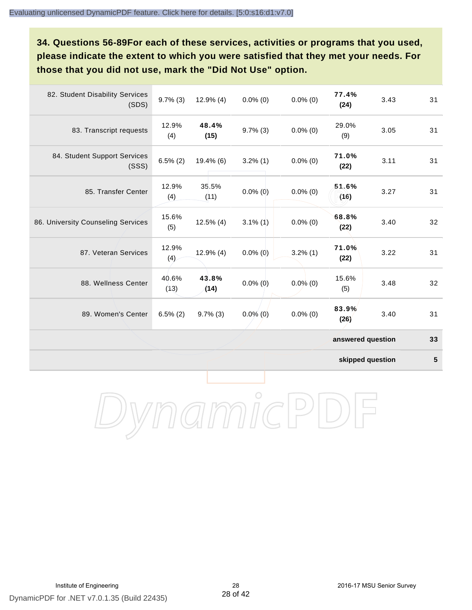**34. Questions 56-89For each of these services, activities or programs that you used, please indicate the extent to which you were satisfied that they met your needs. For those that you did not use, mark the "Did Not Use" option.**

| 82. Student Disability Services<br>(SDS) | $9.7\%$ (3)   | $12.9\%$ (4)  | $0.0\%$ (0) | $0.0\%$ (0) | 77.4%<br>(24)     | 3.43 | 31 |
|------------------------------------------|---------------|---------------|-------------|-------------|-------------------|------|----|
| 83. Transcript requests                  | 12.9%<br>(4)  | 48.4%<br>(15) | $9.7\%$ (3) | $0.0\%$ (0) | 29.0%<br>(9)      | 3.05 | 31 |
| 84. Student Support Services<br>(SSS)    | $6.5\%$ (2)   | 19.4% (6)     | $3.2\%$ (1) | $0.0\%$ (0) | 71.0%<br>(22)     | 3.11 | 31 |
| 85. Transfer Center                      | 12.9%<br>(4)  | 35.5%<br>(11) | $0.0\%$ (0) | $0.0\%$ (0) | 51.6%<br>(16)     | 3.27 | 31 |
| 86. University Counseling Services       | 15.6%<br>(5)  | $12.5\%$ (4)  | $3.1\%$ (1) | $0.0\%$ (0) | 68.8%<br>(22)     | 3.40 | 32 |
| 87. Veteran Services                     | 12.9%<br>(4)  | $12.9\%$ (4)  | $0.0\%$ (0) | $3.2\%$ (1) | 71.0%<br>(22)     | 3.22 | 31 |
| 88. Wellness Center                      | 40.6%<br>(13) | 43.8%<br>(14) | $0.0\%$ (0) | $0.0\%$ (0) | 15.6%<br>(5)      | 3.48 | 32 |
| 89. Women's Center                       | $6.5\%$ (2)   | $9.7\%$ (3)   | $0.0\%$ (0) | $0.0\%$ (0) | 83.9%<br>(26)     | 3.40 | 31 |
|                                          |               |               |             |             | answered question |      | 33 |

**skipped question 5**

DynamicPDF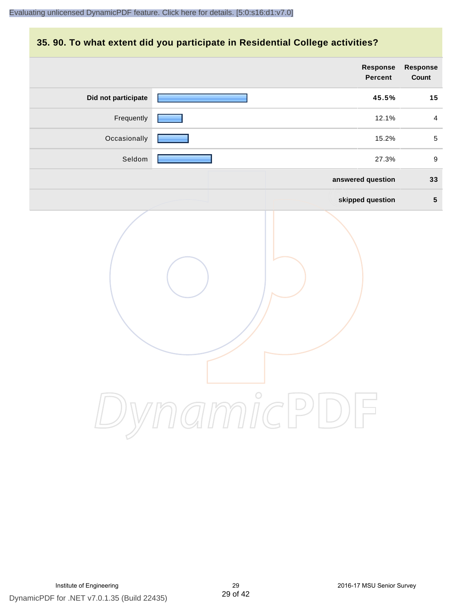#### **35. 90. To what extent did you participate in Residential College activities?**

|                     | Response<br><b>Percent</b> | Response<br>Count |
|---------------------|----------------------------|-------------------|
| Did not participate | 45.5%                      | 15                |
| Frequently          | 12.1%                      | $\overline{4}$    |
| Occasionally        | 15.2%                      | $\sqrt{5}$        |
| Seldom              | 27.3%                      | $9\,$             |
|                     | answered question          | 33                |
|                     | skipped question           | $5\phantom{.0}$   |
|                     | mamicPD                    |                   |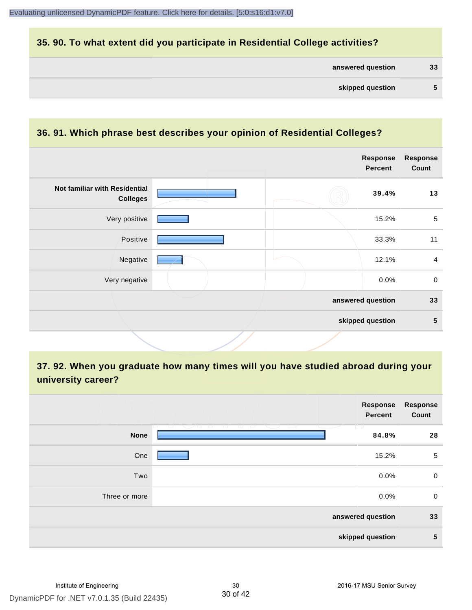#### **35. 90. To what extent did you participate in Residential College activities?**

| answered question | 33 |
|-------------------|----|
|-------------------|----|

# **36. 91. Which phrase best describes your opinion of Residential Colleges? answered question 33 skipped question 5 Response Percent Response Count Not familiar with Residential Colleges 39.4% 13** Very positive **15.2%** 5 Positive **2008** 23.3% 11 Negative 12.1% 4 Very negative and the contract of the contract of the contract of the contract of the contract of the contract of the contract of the contract of the contract of the contract of the contract of the contract of the contract

# **37. 92. When you graduate how many times will you have studied abroad during your university career?**

|               | Response<br>Percent                                                                                                              | Response<br>Count |
|---------------|----------------------------------------------------------------------------------------------------------------------------------|-------------------|
| <b>None</b>   | <b>1970 p</b><br>$\overline{1}$ $\overline{1}$ $\overline{1}$ $\overline{1}$ $\overline{1}$<br>$\overline{\phantom{a}}$<br>84.8% | 28                |
| One           | 15.2%                                                                                                                            | $\mathbf 5$       |
| Two           | 0.0%                                                                                                                             | $\mathbf 0$       |
| Three or more | 0.0%                                                                                                                             | $\mathbf 0$       |
|               | answered question                                                                                                                | 33                |
|               | skipped question                                                                                                                 | 5                 |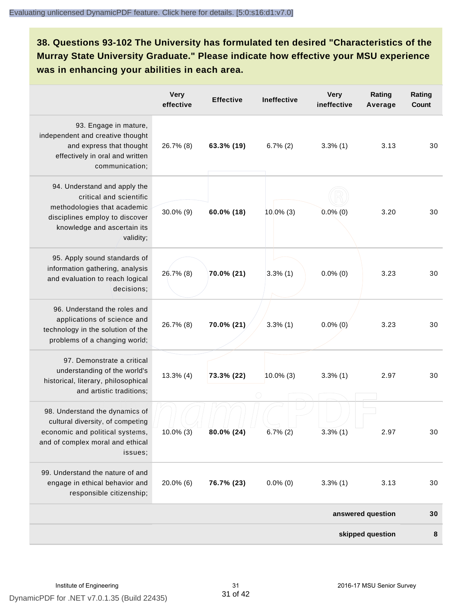**38. Questions 93-102 The University has formulated ten desired "Characteristics of the Murray State University Graduate." Please indicate how effective your MSU experience was in enhancing your abilities in each area.**

|                                                                                                                                                                      | <b>Very</b><br>effective | <b>Effective</b> | Ineffective  | <b>Very</b><br>ineffective | Rating<br>Average | Rating<br><b>Count</b> |
|----------------------------------------------------------------------------------------------------------------------------------------------------------------------|--------------------------|------------------|--------------|----------------------------|-------------------|------------------------|
| 93. Engage in mature,<br>independent and creative thought<br>and express that thought<br>effectively in oral and written<br>communication;                           | 26.7% (8)                | 63.3% (19)       | $6.7\%$ (2)  | $3.3\%$ (1)                | 3.13              | 30                     |
| 94. Understand and apply the<br>critical and scientific<br>methodologies that academic<br>disciplines employ to discover<br>knowledge and ascertain its<br>validity; | $30.0\%$ (9)             | 60.0% (18)       | $10.0\%$ (3) | $0.0\%$ (0)                | 3.20              | 30                     |
| 95. Apply sound standards of<br>information gathering, analysis<br>and evaluation to reach logical<br>decisions;                                                     | 26.7% (8)                | 70.0% (21)       | $3.3\%$ (1)  | $0.0\%$ (0)                | 3.23              | 30                     |
| 96. Understand the roles and<br>applications of science and<br>technology in the solution of the<br>problems of a changing world;                                    | 26.7% (8)                | 70.0% (21)       | $3.3\%$ (1)  | $0.0\%$ (0)                | 3.23              | 30                     |
| 97. Demonstrate a critical<br>understanding of the world's<br>historical, literary, philosophical<br>and artistic traditions;                                        | $13.3\%$ (4)             | 73.3% (22)       | $10.0\%$ (3) | $3.3\%$ (1)                | 2.97              | 30                     |
| 98. Understand the dynamics of<br>cultural diversity, of competing<br>economic and political systems,<br>and of complex moral and ethical<br>issues;                 | $10.0\%$ (3)             | $80.0\%$ (24)    | $6.7\%$ (2)  | $3.3\%$ (1)                | 2.97              | 30                     |
| 99. Understand the nature of and<br>engage in ethical behavior and<br>responsible citizenship;                                                                       | $20.0\%$ (6)             | 76.7% (23)       | $0.0\%$ (0)  | $3.3\%$ (1)                | 3.13              | 30                     |
|                                                                                                                                                                      |                          |                  |              |                            | answered question | 30                     |
|                                                                                                                                                                      |                          |                  |              |                            | skipped question  | 8                      |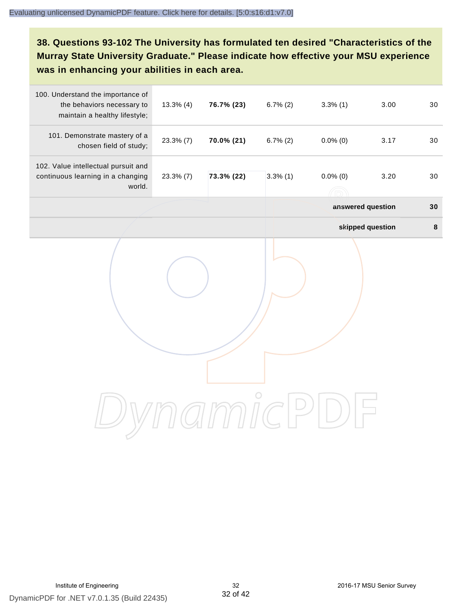# **38. Questions 93-102 The University has formulated ten desired "Characteristics of the Murray State University Graduate." Please indicate how effective your MSU experience was in enhancing your abilities in each area.**

| 100. Understand the importance of<br>the behaviors necessary to<br>maintain a healthy lifestyle; | $13.3\%$ (4) | 76.7% (23) | $6.7\%$ (2) | $3.3\%$ (1)       | 3.00             | 30     |
|--------------------------------------------------------------------------------------------------|--------------|------------|-------------|-------------------|------------------|--------|
| 101. Demonstrate mastery of a<br>chosen field of study;                                          | 23.3% (7)    | 70.0% (21) | $6.7\%$ (2) | $0.0\%$ (0)       | 3.17             | 30     |
| 102. Value intellectual pursuit and<br>continuous learning in a changing<br>world.               | 23.3% (7)    | 73.3% (22) | $3.3\%$ (1) | $0.0\%$ (0)       | 3.20             | 30     |
|                                                                                                  |              |            |             | answered question |                  | 30     |
|                                                                                                  |              |            |             |                   | skipped question | $\bf8$ |
|                                                                                                  |              |            |             |                   |                  |        |
|                                                                                                  |              |            |             |                   |                  |        |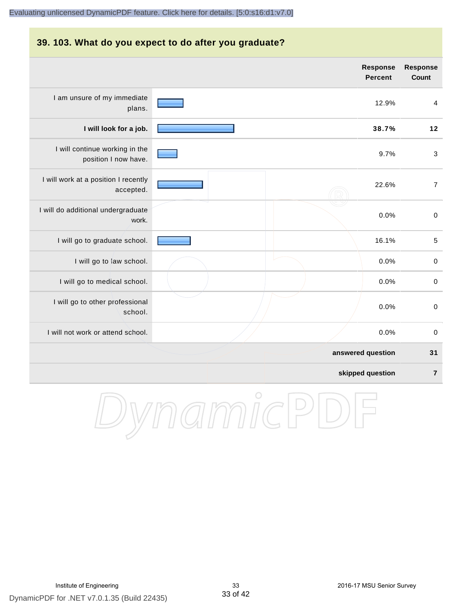# **39. 103. What do you expect to do after you graduate? answered question 31 Response Percent Response Count** I am unsure of my immediate plans. 12.9% 4 **I will look for a job. 38.7% 12** I will continue working in the position I now have. 9.7% 3 I will work at a position I recently accepted. 22.6% 7 I will do additional undergraduate work. 0.0% 0 I will go to graduate school. **16.1%** 5 I will go to law school.  $\sim$  0.0% 0 I will go to medical school.  $\qquad \qquad \qquad$  0.0% 0 I will go to other professional school. 0.0% 0 I will not work or attend school. 0.0% 0

#### **skipped question 7**

DynamicPD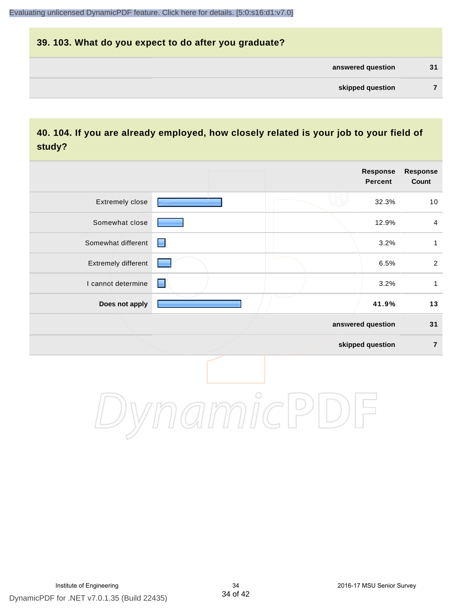# **39. 103. What do you expect to do after you graduate? answered question 31 skipped question 7**

#### **40. 104. If you are already employed, how closely related is your job to your field of study?**

|                     |                |         | <b>Response</b><br><b>Percent</b> | <b>Response</b><br>Count |
|---------------------|----------------|---------|-----------------------------------|--------------------------|
| Extremely close     |                |         | 32.3%                             | $10$                     |
| Somewhat close      |                |         | 12.9%                             | $\overline{\mathbf{4}}$  |
| Somewhat different  | ▉              |         | 3.2%                              | $\mathbf{1}$             |
| Extremely different |                |         | 6.5%                              | $\sqrt{2}$               |
| I cannot determine  | $\blacksquare$ |         | 3.2%                              | $\mathbf{1}$             |
| Does not apply      |                |         | 41.9%                             | $13$                     |
|                     |                |         | answered question                 | 31                       |
|                     |                |         | skipped question                  | $\overline{7}$           |
|                     |                | $\circ$ |                                   |                          |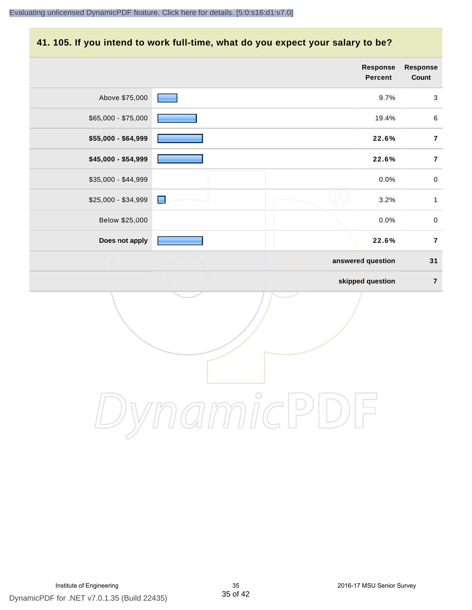#### **41. 105. If you intend to work full-time, what do you expect your salary to be?**

|                     |                | Response<br>Percent | Response<br>Count |
|---------------------|----------------|---------------------|-------------------|
| Above \$75,000      |                | 9.7%                | $\mathsf 3$       |
| $$65,000 - $75,000$ |                | 19.4%               | $\,6\,$           |
| \$55,000 - \$64,999 |                | 22.6%               | $\overline{7}$    |
| \$45,000 - \$54,999 |                | 22.6%               | $\overline{7}$    |
| \$35,000 - \$44,999 |                | 0.0%                | $\pmb{0}$         |
| \$25,000 - \$34,999 | $\blacksquare$ | 3.2%                | $\mathbf{1}$      |
| Below \$25,000      |                | 0.0%                | $\mathbf 0$       |
| Does not apply      |                | 22.6%               | $\overline{7}$    |
|                     |                | answered question   | 31                |
|                     |                | skipped question    | $\bf 7$           |
|                     |                |                     |                   |
|                     | $\overline{C}$ |                     |                   |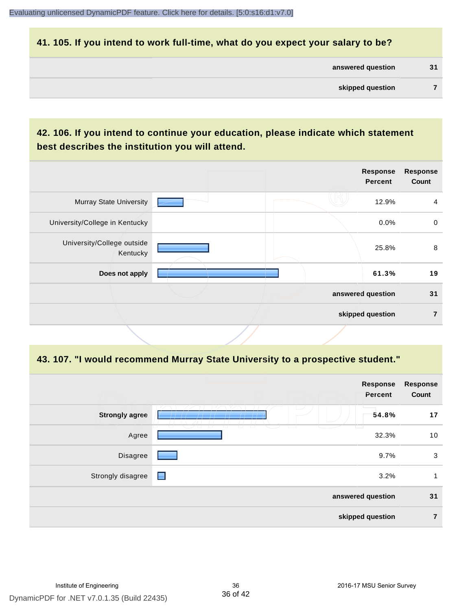#### **41. 105. If you intend to work full-time, what do you expect your salary to be?**

| answered question | 31 |
|-------------------|----|
|                   |    |

#### **42. 106. If you intend to continue your education, please indicate which statement best describes the institution you will attend.**

|                                        | <b>Response</b><br>Percent | <b>Response</b><br>Count |
|----------------------------------------|----------------------------|--------------------------|
| <b>Murray State University</b>         | 12.9%                      | $\overline{4}$           |
| University/College in Kentucky         | 0.0%                       | $\mathbf 0$              |
| University/College outside<br>Kentucky | 25.8%                      | 8                        |
| Does not apply                         | 61.3%                      | 19                       |
|                                        | answered question          | 31                       |
|                                        | skipped question           | 7                        |

#### **43. 107. "I would recommend Murray State University to a prospective student."**

| <b>Response</b><br>Count | <b>Response</b><br>Percent |                                                                    |                       |
|--------------------------|----------------------------|--------------------------------------------------------------------|-----------------------|
| 17                       | 54.8%                      | L.                                                                 | <b>Strongly agree</b> |
| 10                       | 32.3%                      | $\sqrt{2}$<br>$\overline{\phantom{0}}$<br>$\overline{\phantom{a}}$ | Agree                 |
| 3                        | 9.7%                       |                                                                    | Disagree              |
| 1                        | 3.2%                       | $\blacksquare$                                                     | Strongly disagree     |
| 31                       | answered question          |                                                                    |                       |
| $\overline{7}$           | skipped question           |                                                                    |                       |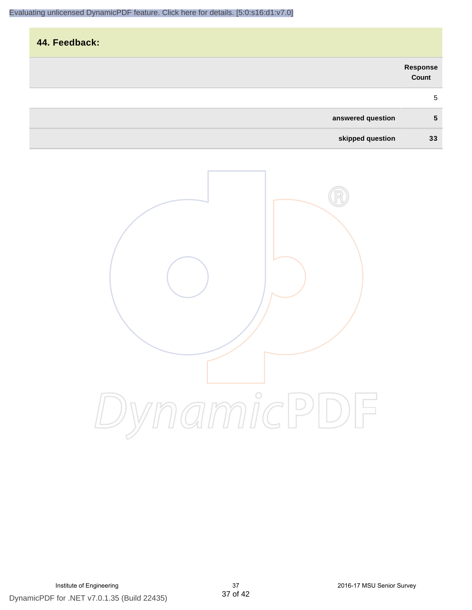| 44. Feedback:     |                   |
|-------------------|-------------------|
|                   | Response<br>Count |
|                   | 5                 |
| answered question | 5                 |
|                   |                   |



**skipped question 33**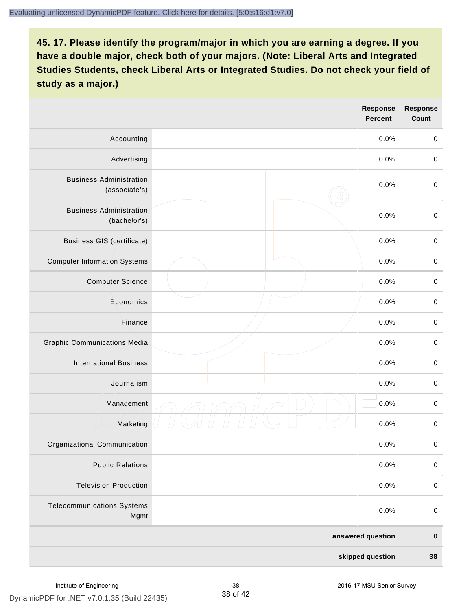|                                                 | Response<br><b>Percent</b> | <b>Response</b><br><b>Count</b> |
|-------------------------------------------------|----------------------------|---------------------------------|
| Accounting                                      | 0.0%                       | $\mathbf 0$                     |
| Advertising                                     | 0.0%                       | $\,0\,$                         |
| <b>Business Administration</b><br>(associate's) | 0.0%                       | $\pmb{0}$                       |
| <b>Business Administration</b><br>(bachelor's)  | 0.0%                       | $\mathbf 0$                     |
| <b>Business GIS (certificate)</b>               | 0.0%                       | $\pmb{0}$                       |
| <b>Computer Information Systems</b>             | 0.0%                       | $\pmb{0}$                       |
| <b>Computer Science</b>                         | 0.0%                       | $\mathbf 0$                     |
| Economics                                       | 0.0%                       | $\mathbf 0$                     |
| Finance                                         | 0.0%                       | $\pmb{0}$                       |
| <b>Graphic Communications Media</b>             | 0.0%                       | $\,0\,$                         |
| <b>International Business</b>                   | 0.0%                       | $\pmb{0}$                       |
| Journalism                                      | 0.0%                       | $\mathbf 0$                     |
| Management                                      | 0.0%                       | $\mathbf 0$                     |
| Marketing                                       | 0.0%                       | $\pmb{0}$                       |
| Organizational Communication                    | 0.0%                       | 0                               |
| <b>Public Relations</b>                         | 0.0%                       | $\mathbf 0$                     |
| <b>Television Production</b>                    | 0.0%                       | $\mathbf 0$                     |
| <b>Telecommunications Systems</b><br>Mgmt       | 0.0%                       | $\mathbf 0$                     |
|                                                 | answered question          | $\pmb{0}$                       |
|                                                 | skipped question           | 38                              |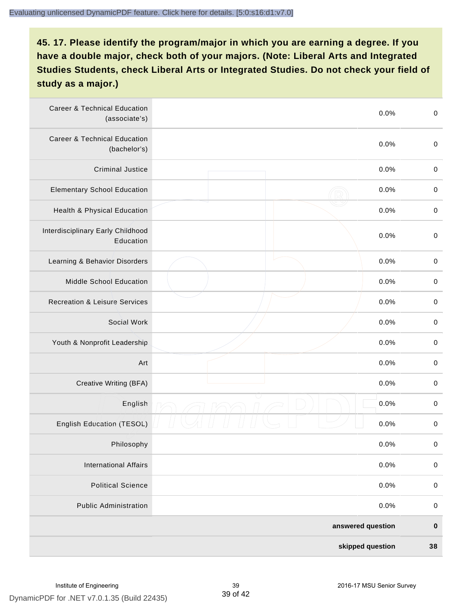| <b>Career &amp; Technical Education</b><br>(associate's) | 0.0%              | $\pmb{0}$   |
|----------------------------------------------------------|-------------------|-------------|
| <b>Career &amp; Technical Education</b><br>(bachelor's)  | 0.0%              | $\mathbf 0$ |
| <b>Criminal Justice</b>                                  | 0.0%              | $\pmb{0}$   |
| <b>Elementary School Education</b>                       | 0.0%              | $\pmb{0}$   |
| Health & Physical Education                              | 0.0%              | $\pmb{0}$   |
| Interdisciplinary Early Childhood<br>Education           | 0.0%              | $\pmb{0}$   |
| Learning & Behavior Disorders                            | 0.0%              | $\pmb{0}$   |
| Middle School Education                                  | 0.0%              | $\mathbf 0$ |
| <b>Recreation &amp; Leisure Services</b>                 | 0.0%              | $\mathbf 0$ |
| Social Work                                              | 0.0%              | $\mathbf 0$ |
| Youth & Nonprofit Leadership                             | 0.0%              | $\mathbf 0$ |
| Art                                                      | 0.0%              | $\pmb{0}$   |
| Creative Writing (BFA)                                   | 0.0%              | $\pmb{0}$   |
| English                                                  | 0.0%              | $\pmb{0}$   |
| English Education (TESOL)                                | 0.0%              | $\pmb{0}$   |
| Philosophy                                               | 0.0%              | 0           |
| <b>International Affairs</b>                             | 0.0%              | $\pmb{0}$   |
| <b>Political Science</b>                                 | 0.0%              | $\mathbf 0$ |
| <b>Public Administration</b>                             | 0.0%              | $\mathbf 0$ |
|                                                          | answered question | $\pmb{0}$   |
|                                                          | skipped question  | 38          |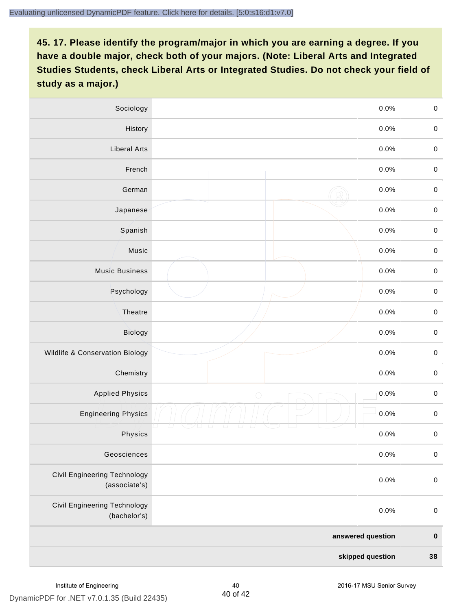| Sociology                                     | 0.0%               | $\mathbf 0$         |
|-----------------------------------------------|--------------------|---------------------|
| History                                       | 0.0%               | $\mathbf 0$         |
| <b>Liberal Arts</b>                           | 0.0%               | $\mathbf 0$         |
| French                                        | 0.0%               | $\pmb{0}$           |
| German                                        | 0.0%               | $\mathbf 0$         |
| Japanese                                      | 0.0%               | $\mathbf 0$         |
| Spanish                                       | 0.0%               | $\mathbf 0$         |
| Music                                         | 0.0%               | $\mathbf 0$         |
| <b>Music Business</b>                         | 0.0%               | $\pmb{0}$           |
| Psychology                                    | 0.0%               | $\mathbf 0$         |
| Theatre                                       | 0.0%               | $\mathbf 0$         |
| Biology                                       | 0.0%               | $\mathbf 0$         |
| Wildlife & Conservation Biology               | 0.0%               | $\mathbf 0$         |
| Chemistry                                     | 0.0%               | $\pmb{0}$           |
| <b>Applied Physics</b>                        | 0.0%<br>$\bigcirc$ | $\mathbf 0$         |
| <b>Engineering Physics</b>                    | 0.0%               | $\mathbf 0$         |
| Physics                                       | 0.0%               | $\mathsf{O}\xspace$ |
| Geosciences                                   | 0.0%               | $\mathbf 0$         |
| Civil Engineering Technology<br>(associate's) | 0.0%               | $\pmb{0}$           |
| Civil Engineering Technology<br>(bachelor's)  | 0.0%               | $\mathbf 0$         |
|                                               | answered question  | $\pmb{0}$           |
|                                               | skipped question   | ${\bf 38}$          |